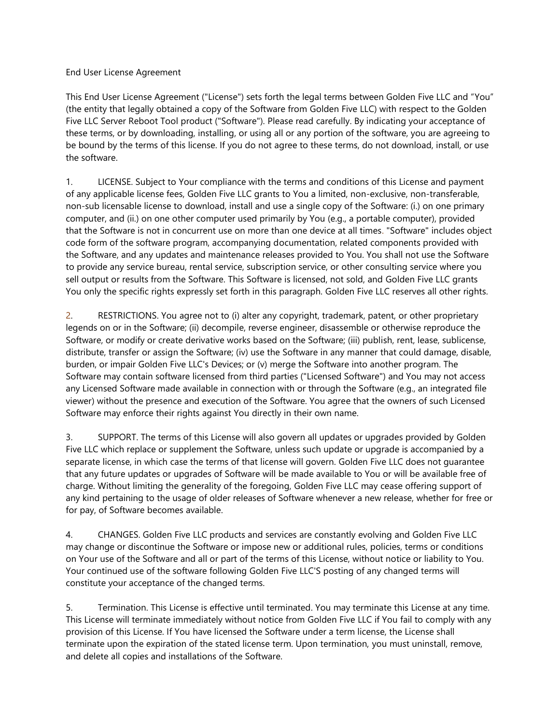End User License Agreement

This End User License Agreement ("License") sets forth the legal terms between Golden Five LLC and "You" (the entity that legally obtained a copy of the Software from Golden Five LLC) with respect to the Golden Five LLC Server Reboot Tool product ("Software"). Please read carefully. By indicating your acceptance of these terms, or by downloading, installing, or using all or any portion of the software, you are agreeing to be bound by the terms of this license. If you do not agree to these terms, do not download, install, or use the software.

1. LICENSE. Subject to Your compliance with the terms and conditions of this License and payment of any applicable license fees, Golden Five LLC grants to You a limited, non-exclusive, non-transferable, non-sub licensable license to download, install and use a single copy of the Software: (i.) on one primary computer, and (ii.) on one other computer used primarily by You (e.g., a portable computer), provided that the Software is not in concurrent use on more than one device at all times. "Software" includes object code form of the software program, accompanying documentation, related components provided with the Software, and any updates and maintenance releases provided to You. You shall not use the Software to provide any service bureau, rental service, subscription service, or other consulting service where you sell output or results from the Software. This Software is licensed, not sold, and Golden Five LLC grants You only the specific rights expressly set forth in this paragraph. Golden Five LLC reserves all other rights.

2. RESTRICTIONS. You agree not to (i) alter any copyright, trademark, patent, or other proprietary legends on or in the Software; (ii) decompile, reverse engineer, disassemble or otherwise reproduce the Software, or modify or create derivative works based on the Software; (iii) publish, rent, lease, sublicense, distribute, transfer or assign the Software; (iv) use the Software in any manner that could damage, disable, burden, or impair Golden Five LLC's Devices; or (v) merge the Software into another program. The Software may contain software licensed from third parties ("Licensed Software") and You may not access any Licensed Software made available in connection with or through the Software (e.g., an integrated file viewer) without the presence and execution of the Software. You agree that the owners of such Licensed Software may enforce their rights against You directly in their own name.

3. SUPPORT. The terms of this License will also govern all updates or upgrades provided by Golden Five LLC which replace or supplement the Software, unless such update or upgrade is accompanied by a separate license, in which case the terms of that license will govern. Golden Five LLC does not guarantee that any future updates or upgrades of Software will be made available to You or will be available free of charge. Without limiting the generality of the foregoing, Golden Five LLC may cease offering support of any kind pertaining to the usage of older releases of Software whenever a new release, whether for free or for pay, of Software becomes available.

4. CHANGES. Golden Five LLC products and services are constantly evolving and Golden Five LLC may change or discontinue the Software or impose new or additional rules, policies, terms or conditions on Your use of the Software and all or part of the terms of this License, without notice or liability to You. Your continued use of the software following Golden Five LLC'S posting of any changed terms will constitute your acceptance of the changed terms.

5. Termination. This License is effective until terminated. You may terminate this License at any time. This License will terminate immediately without notice from Golden Five LLC if You fail to comply with any provision of this License. If You have licensed the Software under a term license, the License shall terminate upon the expiration of the stated license term. Upon termination, you must uninstall, remove, and delete all copies and installations of the Software.